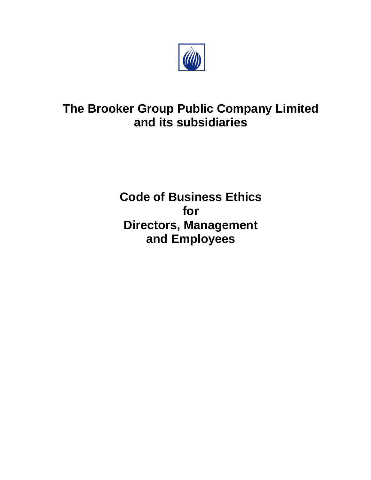

# **The Brooker Group Public Company Limited and its subsidiaries**

**Code of Business Ethics for Directors, Management and Employees**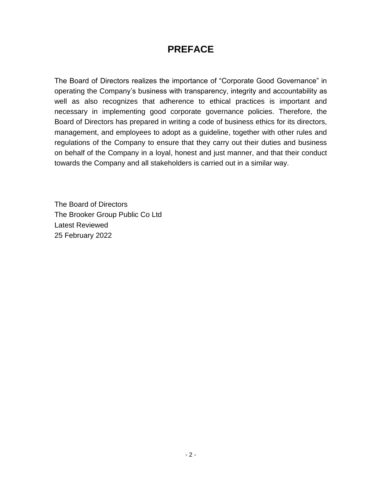# **PREFACE**

The Board of Directors realizes the importance of "Corporate Good Governance" in operating the Company's business with transparency, integrity and accountability as well as also recognizes that adherence to ethical practices is important and necessary in implementing good corporate governance policies. Therefore, the Board of Directors has prepared in writing a code of business ethics for its directors, management, and employees to adopt as a guideline, together with other rules and regulations of the Company to ensure that they carry out their duties and business on behalf of the Company in a loyal, honest and just manner, and that their conduct towards the Company and all stakeholders is carried out in a similar way.

The Board of Directors The Brooker Group Public Co Ltd Latest Reviewed 25 February 2022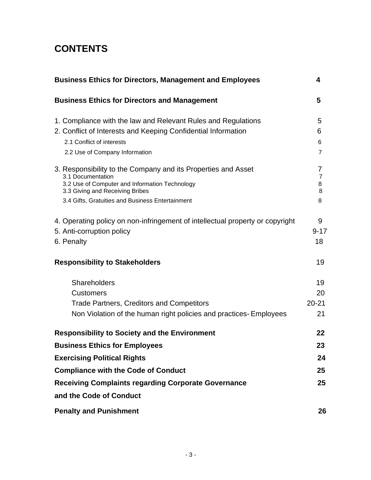# **CONTENTS**

| <b>Business Ethics for Directors, Management and Employees</b>                | 4                   |
|-------------------------------------------------------------------------------|---------------------|
| <b>Business Ethics for Directors and Management</b>                           | 5                   |
| 1. Compliance with the law and Relevant Rules and Regulations                 | 5                   |
| 2. Conflict of Interests and Keeping Confidential Information                 | 6                   |
| 2.1 Conflict of interests                                                     | 6                   |
| 2.2 Use of Company Information                                                | 7                   |
| 3. Responsibility to the Company and its Properties and Asset                 | 7                   |
| 3.1 Documentation<br>3.2 Use of Computer and Information Technology           | $\overline{7}$<br>8 |
| 3.3 Giving and Receiving Bribes                                               | 8                   |
| 3.4 Gifts, Gratuities and Business Entertainment                              | 8                   |
| 4. Operating policy on non-infringement of intellectual property or copyright | 9                   |
| 5. Anti-corruption policy                                                     | $9 - 17$            |
| 6. Penalty                                                                    | 18                  |
| <b>Responsibility to Stakeholders</b>                                         | 19                  |
| Shareholders                                                                  | 19                  |
| <b>Customers</b>                                                              | 20                  |
| <b>Trade Partners, Creditors and Competitors</b>                              | $20 - 21$           |
| Non Violation of the human right policies and practices-Employees             | 21                  |
| <b>Responsibility to Society and the Environment</b>                          | 22                  |
| <b>Business Ethics for Employees</b>                                          | 23                  |
| <b>Exercising Political Rights</b>                                            | 24                  |
| <b>Compliance with the Code of Conduct</b>                                    | 25                  |
| <b>Receiving Complaints regarding Corporate Governance</b>                    | 25                  |
| and the Code of Conduct                                                       |                     |
| <b>Penalty and Punishment</b>                                                 | 26                  |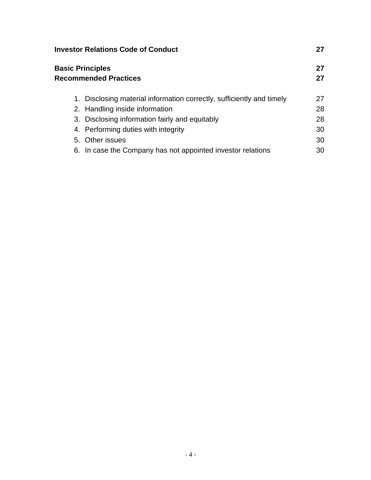| <b>Investor Relations Code of Conduct</b>                             |          |
|-----------------------------------------------------------------------|----------|
| <b>Basic Principles</b><br><b>Recommended Practices</b>               | 27<br>27 |
| 1. Disclosing material information correctly, sufficiently and timely | 27       |
| 2. Handling inside information                                        | 28       |
| 3. Disclosing information fairly and equitably                        | 28       |
| 4. Performing duties with integrity                                   | 30       |
| 5. Other issues                                                       | 30       |
| 6. In case the Company has not appointed investor relations           | 30       |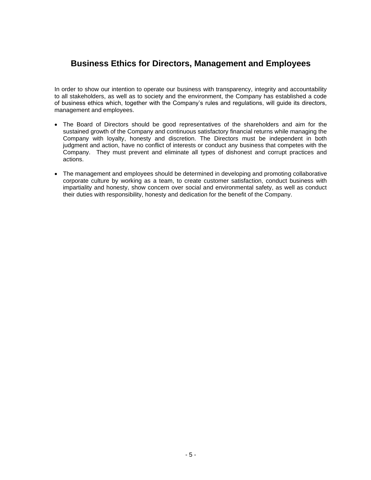# **Business Ethics for Directors, Management and Employees**

In order to show our intention to operate our business with transparency, integrity and accountability to all stakeholders, as well as to society and the environment, the Company has established a code of business ethics which, together with the Company's rules and regulations, will guide its directors, management and employees.

- The Board of Directors should be good representatives of the shareholders and aim for the sustained growth of the Company and continuous satisfactory financial returns while managing the Company with loyalty, honesty and discretion. The Directors must be independent in both judgment and action, have no conflict of interests or conduct any business that competes with the Company. They must prevent and eliminate all types of dishonest and corrupt practices and actions.
- The management and employees should be determined in developing and promoting collaborative corporate culture by working as a team, to create customer satisfaction, conduct business with impartiality and honesty, show concern over social and environmental safety, as well as conduct their duties with responsibility, honesty and dedication for the benefit of the Company.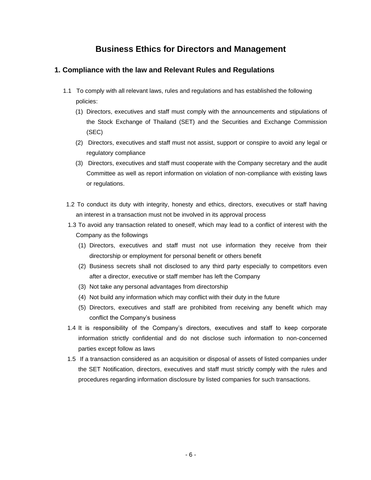# **Business Ethics for Directors and Management**

# **1. Compliance with the law and Relevant Rules and Regulations**

- 1.1 To comply with all relevant laws, rules and regulations and has established the following policies:
	- (1) Directors, executives and staff must comply with the announcements and stipulations of the Stock Exchange of Thailand (SET) and the Securities and Exchange Commission (SEC)
	- (2) Directors, executives and staff must not assist, support or conspire to avoid any legal or regulatory compliance
	- (3) Directors, executives and staff must cooperate with the Company secretary and the audit Committee as well as report information on violation of non-compliance with existing laws or regulations.
- 1.2 To conduct its duty with integrity, honesty and ethics, directors, executives or staff having an interest in a transaction must not be involved in its approval process
- 1.3 To avoid any transaction related to oneself, which may lead to a conflict of interest with the Company as the followings
	- (1) Directors, executives and staff must not use information they receive from their directorship or employment for personal benefit or others benefit
	- (2) Business secrets shall not disclosed to any third party especially to competitors even after a director, executive or staff member has left the Company
	- (3) Not take any personal advantages from directorship
	- (4) Not build any information which may conflict with their duty in the future
	- (5) Directors, executives and staff are prohibited from receiving any benefit which may conflict the Company's business
- 1.4 It is responsibility of the Company's directors, executives and staff to keep corporate information strictly confidential and do not disclose such information to non-concerned parties except follow as laws
- 1.5 If a transaction considered as an acquisition or disposal of assets of listed companies under the SET Notification, directors, executives and staff must strictly comply with the rules and procedures regarding information disclosure by listed companies for such transactions.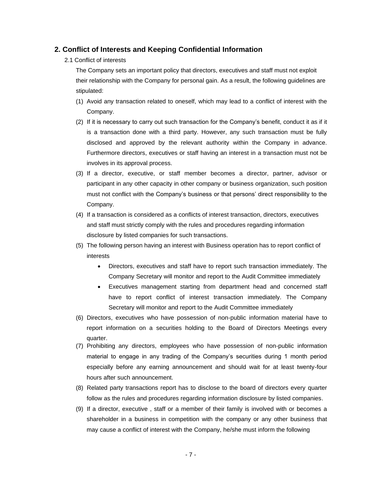# **2. Conflict of Interests and Keeping Confidential Information**

## 2.1 Conflict of interests

The Company sets an important policy that directors, executives and staff must not exploit their relationship with the Company for personal gain. As a result, the following guidelines are stipulated:

- (1) Avoid any transaction related to oneself, which may lead to a conflict of interest with the Company.
- (2) If it is necessary to carry out such transaction for the Company's benefit, conduct it as if it is a transaction done with a third party. However, any such transaction must be fully disclosed and approved by the relevant authority within the Company in advance. Furthermore directors, executives or staff having an interest in a transaction must not be involves in its approval process.
- (3) If a director, executive, or staff member becomes a director, partner, advisor or participant in any other capacity in other company or business organization, such position must not conflict with the Company's business or that persons' direct responsibility to the Company.
- (4) If a transaction is considered as a conflicts of interest transaction, directors, executives and staff must strictly comply with the rules and procedures regarding information disclosure by listed companies for such transactions.
- (5) The following person having an interest with Business operation has to report conflict of interests
	- Directors, executives and staff have to report such transaction immediately. The Company Secretary will monitor and report to the Audit Committee immediately
	- Executives management starting from department head and concerned staff have to report conflict of interest transaction immediately. The Company Secretary will monitor and report to the Audit Committee immediately
- (6) Directors, executives who have possession of non-public information material have to report information on a securities holding to the Board of Directors Meetings every quarter.
- (7) Prohibiting any directors, employees who have possession of non-public information material to engage in any trading of the Company's securities during 1 month period especially before any earning announcement and should wait for at least twenty-four hours after such announcement.
- (8) Related party transactions report has to disclose to the board of directors every quarter follow as the rules and procedures regarding information disclosure by listed companies.
- (9) If a director, executive , staff or a member of their family is involved with or becomes a shareholder in a business in competition with the company or any other business that may cause a conflict of interest with the Company, he/she must inform the following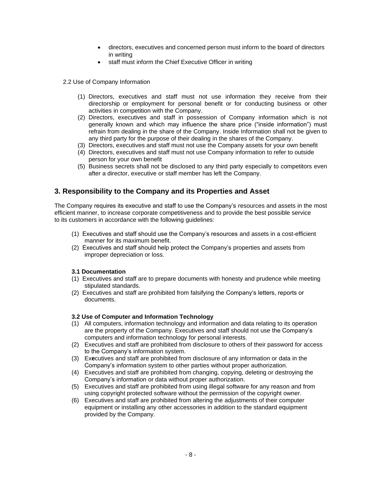- directors, executives and concerned person must inform to the board of directors in writing
- staff must inform the Chief Executive Officer in writing

2.2 Use of Company Information

- (1) Directors, executives and staff must not use information they receive from their directorship or employment for personal benefit or for conducting business or other activities in competition with the Company.
- (2) Directors, executives and staff in possession of Company information which is not generally known and which may influence the share price ("inside information") must refrain from dealing in the share of the Company. Inside Information shall not be given to any third party for the purpose of their dealing in the shares of the Company.
- (3) Directors, executives and staff must not use the Company assets for your own benefit
- (4) Directors, executives and staff must not use Company information to refer to outside person for your own benefit
- (5) Business secrets shall not be disclosed to any third party especially to competitors even after a director, executive or staff member has left the Company.

# **3. Responsibility to the Company and its Properties and Asset**

The Company requires its executive and staff to use the Company's resources and assets in the most efficient manner, to increase corporate competitiveness and to provide the best possible service to its customers in accordance with the following guidelines:

- (1) Executives and staff should use the Company's resources and assets in a cost-efficient manner for its maximum benefit.
- (2) Executives and staff should help protect the Company's properties and assets from improper depreciation or loss.

#### **3.1 Documentation**

- (1) Executives and staff are to prepare documents with honesty and prudence while meeting stipulated standards.
- (2) Executives and staff are prohibited from falsifying the Company's letters, reports or documents.

# **3.2 Use of Computer and Information Technology**

- (1) All computers, information technology and information and data relating to its operation are the property of the Company. Executives and staff should not use the Company's computers and information technology for personal interests.
- (2) Executives and staff are prohibited from disclosure to others of their password for access to the Company's information system.
- (3) Ex**e**cutives and staff are prohibited from disclosure of any information or data in the Company's information system to other parties without proper authorization.
- (4) Executives and staff are prohibited from changing, copying, deleting or destroying the Company's information or data without proper authorization.
- (5) Executives and staff are prohibited from using illegal software for any reason and from using copyright protected software without the permission of the copyright owner.
- (6) Executives and staff are prohibited from altering the adjustments of their computer equipment or installing any other accessories in addition to the standard equipment provided by the Company.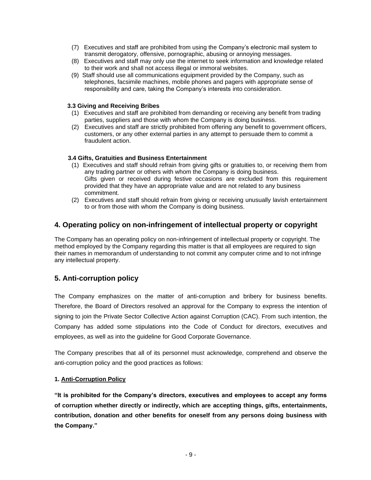- (7) Executives and staff are prohibited from using the Company's electronic mail system to transmit derogatory, offensive, pornographic, abusing or annoying messages.
- (8) Executives and staff may only use the internet to seek information and knowledge related to their work and shall not access illegal or immoral websites.
- (9) Staff should use all communications equipment provided by the Company, such as telephones, facsimile machines, mobile phones and pagers with appropriate sense of responsibility and care, taking the Company's interests into consideration.

## **3.3 Giving and Receiving Bribes**

- (1) Executives and staff are prohibited from demanding or receiving any benefit from trading parties, suppliers and those with whom the Company is doing business.
- (2) Executives and staff are strictly prohibited from offering any benefit to government officers, customers, or any other external parties in any attempt to persuade them to commit a fraudulent action.

# **3.4 Gifts, Gratuities and Business Entertainment**

- (1) Executives and staff should refrain from giving gifts or gratuities to, or receiving them from any trading partner or others with whom the Company is doing business. Gifts given or received during festive occasions are excluded from this requirement provided that they have an appropriate value and are not related to any business commitment.
- (2) Executives and staff should refrain from giving or receiving unusually lavish entertainment to or from those with whom the Company is doing business.

# **4. Operating policy on non-infringement of intellectual property or copyright**

The Company has an operating policy on non-infringement of intellectual property or copyright. The method employed by the Company regarding this matter is that all employees are required to sign their names in memorandum of understanding to not commit any computer crime and to not infringe any intellectual property.

# **5. Anti-corruption policy**

The Company emphasizes on the matter of anti-corruption and bribery for business benefits. Therefore, the Board of Directors resolved an approval for the Company to express the intention of signing to join the Private Sector Collective Action against Corruption (CAC). From such intention, the Company has added some stipulations into the Code of Conduct for directors, executives and employees, as well as into the guideline for Good Corporate Governance.

The Company prescribes that all of its personnel must acknowledge, comprehend and observe the anti-corruption policy and the good practices as follows:

# **1. Anti-Corruption Policy**

**"It is prohibited for the Company's directors, executives and employees to accept any forms of corruption whether directly or indirectly, which are accepting things, gifts, entertainments, contribution, donation and other benefits for oneself from any persons doing business with the Company."**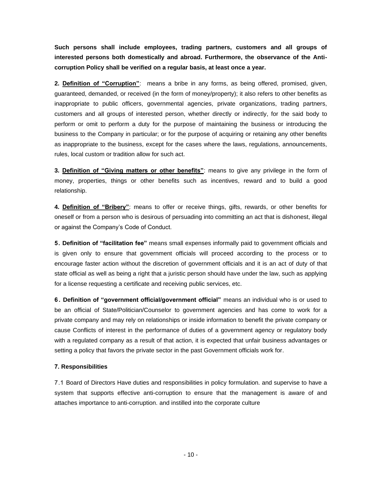**Such persons shall include employees, trading partners, customers and all groups of interested persons both domestically and abroad. Furthermore, the observance of the Anticorruption Policy shall be verified on a regular basis, at least once a year.**

**2. Definition of "Corruption"**: means a bribe in any forms, as being offered, promised, given, guaranteed, demanded, or received (in the form of money/property); it also refers to other benefits as inappropriate to public officers, governmental agencies, private organizations, trading partners, customers and all groups of interested person, whether directly or indirectly, for the said body to perform or omit to perform a duty for the purpose of maintaining the business or introducing the business to the Company in particular; or for the purpose of acquiring or retaining any other benefits as inappropriate to the business, except for the cases where the laws, regulations, announcements, rules, local custom or tradition allow for such act.

**3. Definition of "Giving matters or other benefits"**: means to give any privilege in the form of money, properties, things or other benefits such as incentives, reward and to build a good relationship.

**4. Definition of "Bribery"**: means to offer or receive things, gifts, rewards, or other benefits for oneself or from a person who is desirous of persuading into committing an act that is dishonest, illegal or against the Company's Code of Conduct.

**5. Definition of "facilitation fee"** means small expenses informally paid to government officials and is given only to ensure that government officials will proceed according to the process or to encourage faster action without the discretion of government officials and it is an act of duty of that state official as well as being a right that a juristic person should have under the law, such as applying for a license requesting a certificate and receiving public services, etc.

**6 . Definition of "government official/government official"** means an individual who is or used to be an official of State/Politician/Counselor to government agencies and has come to work for a private company and may rely on relationships or inside information to benefit the private company or cause Conflicts of interest in the performance of duties of a government agency or regulatory body with a regulated company as a result of that action, it is expected that unfair business advantages or setting a policy that favors the private sector in the past Government officials work for.

# **7. Responsibilities**

7.1 Board of Directors Have duties and responsibilities in policy formulation. and supervise to have a system that supports effective anti-corruption to ensure that the management is aware of and attaches importance to anti-corruption. and instilled into the corporate culture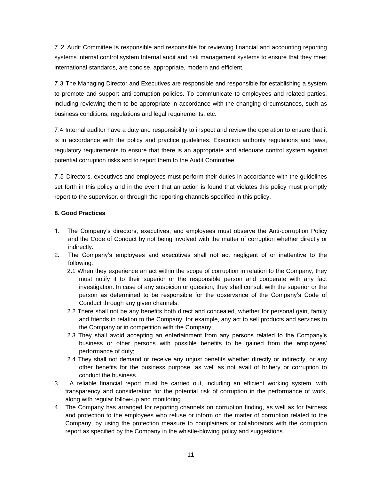7 .2 Audit Committee Is responsible and responsible for reviewing financial and accounting reporting systems internal control system Internal audit and risk management systems to ensure that they meet international standards, are concise, appropriate, modern and efficient.

7.3 The Managing Director and Executives are responsible and responsible for establishing a system to promote and support anti-corruption policies. To communicate to employees and related parties, including reviewing them to be appropriate in accordance with the changing circumstances, such as business conditions, regulations and legal requirements, etc.

7.4 Internal auditor have a duty and responsibility to inspect and review the operation to ensure that it is in accordance with the policy and practice guidelines. Execution authority regulations and laws, regulatory requirements to ensure that there is an appropriate and adequate control system against potential corruption risks and to report them to the Audit Committee.

7.5 Directors, executives and employees must perform their duties in accordance with the guidelines set forth in this policy and in the event that an action is found that violates this policy must promptly report to the supervisor. or through the reporting channels specified in this policy.

# **8. Good Practices**

- 1. The Company's directors, executives, and employees must observe the Anti-corruption Policy and the Code of Conduct by not being involved with the matter of corruption whether directly or indirectly.
- 2. The Company's employees and executives shall not act negligent of or inattentive to the following:
	- 2.1 When they experience an act within the scope of corruption in relation to the Company, they must notify it to their superior or the responsible person and cooperate with any fact investigation. In case of any suspicion or question, they shall consult with the superior or the person as determined to be responsible for the observance of the Company's Code of Conduct through any given channels;
	- 2.2 There shall not be any benefits both direct and concealed, whether for personal gain, family and friends in relation to the Company; for example, any act to sell products and services to the Company or in competition with the Company;
	- 2.3 They shall avoid accepting an entertainment from any persons related to the Company's business or other persons with possible benefits to be gained from the employees' performance of duty;
	- 2.4 They shall not demand or receive any unjust benefits whether directly or indirectly, or any other benefits for the business purpose, as well as not avail of bribery or corruption to conduct the business.
- 3. A reliable financial report must be carried out, including an efficient working system, with transparency and consideration for the potential risk of corruption in the performance of work, along with regular follow-up and monitoring.
- 4. The Company has arranged for reporting channels on corruption finding, as well as for fairness and protection to the employees who refuse or inform on the matter of corruption related to the Company, by using the protection measure to complainers or collaborators with the corruption report as specified by the Company in the whistle-blowing policy and suggestions.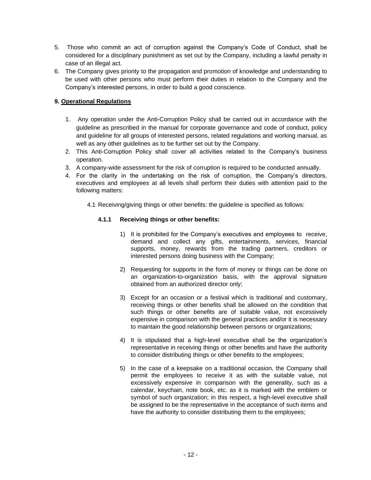- 5. Those who commit an act of corruption against the Company's Code of Conduct, shall be considered for a disciplinary punishment as set out by the Company, including a lawful penalty in case of an illegal act.
- 6. The Company gives priority to the propagation and promotion of knowledge and understanding to be used with other persons who must perform their duties in relation to the Company and the Company's interested persons, in order to build a good conscience.

# **9. Operational Regulations**

- 1. Any operation under the Anti-Corruption Policy shall be carried out in accordance with the guideline as prescribed in the manual for corporate governance and code of conduct, policy and guideline for all groups of interested persons, related regulations and working manual, as well as any other guidelines as to be further set out by the Company.
- 2. This Anti-Corruption Policy shall cover all activities related to the Company's business operation.
- 3. A company-wide assessment for the risk of corruption is required to be conducted annually.
- 4. For the clarity in the undertaking on the risk of corruption, the Company's directors, executives and employees at all levels shall perform their duties with attention paid to the following matters:
	- 4.1 Receiving/giving things or other benefits: the guideline is specified as follows:

# **4.1.1 Receiving things or other benefits:**

- 1) It is prohibited for the Company's executives and employees to receive, demand and collect any gifts, entertainments, services, financial supports, money, rewards from the trading partners, creditors or interested persons doing business with the Company;
- 2) Requesting for supports in the form of money or things can be done on an organization-to-organization basis, with the approval signature obtained from an authorized director only;
- 3) Except for an occasion or a festival which is traditional and customary, receiving things or other benefits shall be allowed on the condition that such things or other benefits are of suitable value, not excessively expensive in comparison with the general practices and/or it is necessary to maintain the good relationship between persons or organizations;
- 4) It is stipulated that a high-level executive shall be the organization's representative in receiving things or other benefits and have the authority to consider distributing things or other benefits to the employees;
- 5) In the case of a keepsake on a traditional occasion, the Company shall permit the employees to receive it as with the suitable value, not excessively expensive in comparison with the generality, such as a calendar, keychain, note book, etc. as it is marked with the emblem or symbol of such organization; in this respect, a high-level executive shall be assigned to be the representative in the acceptance of such items and have the authority to consider distributing them to the employees;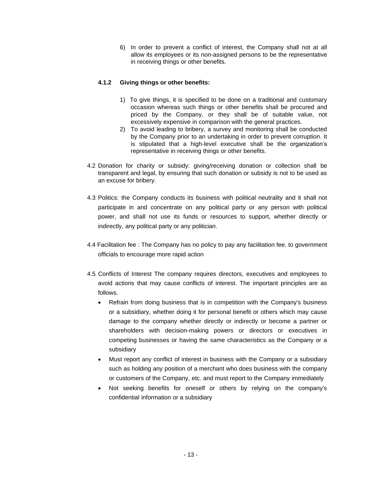6) In order to prevent a conflict of interest, the Company shall not at all allow its employees or its non-assigned persons to be the representative in receiving things or other benefits.

# **4.1.2 Giving things or other benefits:**

- 1) To give things, it is specified to be done on a traditional and customary occasion whereas such things or other benefits shall be procured and priced by the Company, or they shall be of suitable value, not excessively expensive in comparison with the general practices.
- 2) To avoid leading to bribery, a survey and monitoring shall be conducted by the Company prior to an undertaking in order to prevent corruption. It is stipulated that a high-level executive shall be the organization's representative in receiving things or other benefits.
- 4.2 Donation for charity or subsidy: giving/receiving donation or collection shall be transparent and legal, by ensuring that such donation or subsidy is not to be used as an excuse for bribery.
- 4.3 Politics: the Company conducts its business with political neutrality and it shall not participate in and concentrate on any political party or any person with political power, and shall not use its funds or resources to support, whether directly or indirectly, any political party or any politician.
- 4.4 Facilitation fee : The Company has no policy to pay any facilitation fee. to government officials to encourage more rapid action
- 4.5 Conflicts of Interest The company requires directors, executives and employees to avoid actions that may cause conflicts of interest. The important principles are as follows.
	- Refrain from doing business that is in competition with the Company's business or a subsidiary, whether doing it for personal benefit or others which may cause damage to the company whether directly or indirectly or become a partner or shareholders with decision-making powers or directors or executives in competing businesses or having the same characteristics as the Company or a subsidiary
	- Must report any conflict of interest in business with the Company or a subsidiary such as holding any position of a merchant who does business with the company or customers of the Company, etc. and must report to the Company immediately
	- Not seeking benefits for oneself or others by relying on the company's confidential information or a subsidiary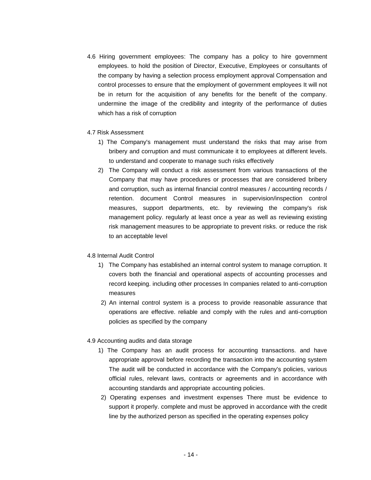4.6 Hiring government employees: The company has a policy to hire government employees. to hold the position of Director, Executive, Employees or consultants of the company by having a selection process employment approval Compensation and control processes to ensure that the employment of government employees It will not be in return for the acquisition of any benefits for the benefit of the company. undermine the image of the credibility and integrity of the performance of duties which has a risk of corruption

#### 4.7 Risk Assessment

- 1) The Company's management must understand the risks that may arise from bribery and corruption and must communicate it to employees at different levels. to understand and cooperate to manage such risks effectively
- 2) The Company will conduct a risk assessment from various transactions of the Company that may have procedures or processes that are considered bribery and corruption, such as internal financial control measures / accounting records / retention. document Control measures in supervision/inspection control measures, support departments, etc. by reviewing the company's risk management policy. regularly at least once a year as well as reviewing existing risk management measures to be appropriate to prevent risks. or reduce the risk to an acceptable level

# 4.8 Internal Audit Control

- 1) The Company has established an internal control system to manage corruption. It covers both the financial and operational aspects of accounting processes and record keeping. including other processes In companies related to anti-corruption measures
- 2) An internal control system is a process to provide reasonable assurance that operations are effective. reliable and comply with the rules and anti-corruption policies as specified by the company

# 4.9 Accounting audits and data storage

- 1) The Company has an audit process for accounting transactions. and have appropriate approval before recording the transaction into the accounting system The audit will be conducted in accordance with the Company's policies, various official rules, relevant laws, contracts or agreements and in accordance with accounting standards and appropriate accounting policies.
- 2) Operating expenses and investment expenses There must be evidence to support it properly. complete and must be approved in accordance with the credit line by the authorized person as specified in the operating expenses policy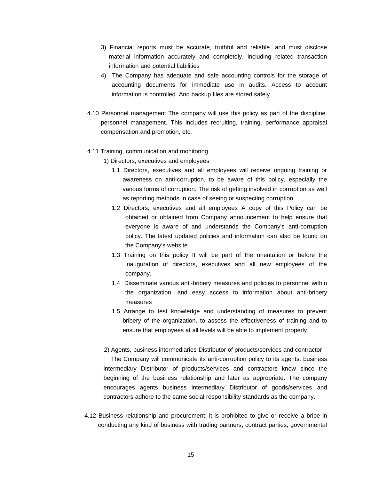- 3) Financial reports must be accurate, truthful and reliable. and must disclose material information accurately and completely. including related transaction information and potential liabilities
- 4) The Company has adequate and safe accounting controls for the storage of accounting documents for immediate use in audits. Access to account information is controlled. And backup files are stored safely.
- 4.10 Personnel management The company will use this policy as part of the discipline. personnel management. This includes recruiting, training. performance appraisal compensation and promotion, etc.

## 4.11 Training, communication and monitoring

1) Directors, executives and employees

- 1.1 Directors, executives and all employees will receive ongoing training or awareness on anti-corruption, to be aware of this policy, especially the various forms of corruption. The risk of getting involved in corruption as well as reporting methods In case of seeing or suspecting corruption
- 1.2 Directors, executives and all employees A copy of this Policy can be obtained or obtained from Company announcement to help ensure that everyone is aware of and understands the Company's anti-corruption policy. The latest updated policies and information can also be found on the Company's website.
- 1.3 Training on this policy It will be part of the orientation or before the inauguration of directors, executives and all new employees of the company.
- 1.4 Disseminate various anti-bribery measures and policies to personnel within the organization. and easy access to information about anti-bribery measures
- 1.5 Arrange to test knowledge and understanding of measures to prevent bribery of the organization. to assess the effectiveness of training and to ensure that employees at all levels will be able to implement properly
- 2) Agents, business intermediaries Distributor of products/services and contractor The Company will communicate its anti-corruption policy to its agents. business intermediary Distributor of products/services and contractors know since the beginning of the business relationship and later as appropriate. The company encourages agents business intermediary Distributor of goods/services and contractors adhere to the same social responsibility standards as the company.
- 4.12 Business relationship and procurement: it is prohibited to give or receive a bribe in conducting any kind of business with trading partners, contract parties, governmental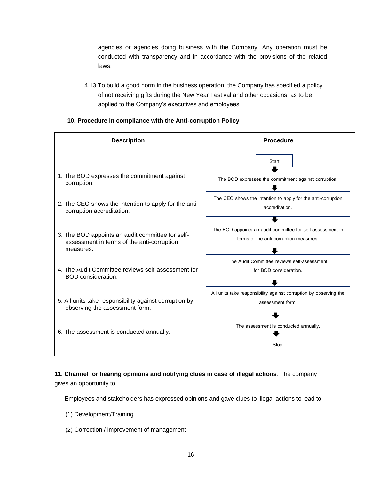agencies or agencies doing business with the Company. Any operation must be conducted with transparency and in accordance with the provisions of the related laws.

4.13 To build a good norm in the business operation, the Company has specified a policy of not receiving gifts during the New Year Festival and other occasions, as to be applied to the Company's executives and employees.

# **10. Procedure in compliance with the Anti-corruption Policy**



**11. Channel for hearing opinions and notifying clues in case of illegal actions**: The company gives an opportunity to

Employees and stakeholders has expressed opinions and gave clues to illegal actions to lead to

- (1) Development/Training
- (2) Correction / improvement of management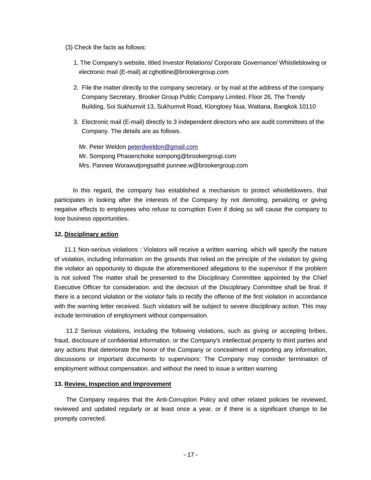- (3) Check the facts as follows:
	- 1. The Company's website, titled Investor Relations/ Corporate Governance/ Whistleblowing or electronic mail (E-mail) at cghotline@brookergroup.com
	- 2. File the matter directly to the company secretary. or by mail at the address of the company Company Secretary, Brooker Group Public Company Limited, Floor 26, The Trendy Building, Soi Sukhumvit 13, Sukhumvit Road, Klongtoey Nua, Wattana, Bangkok 10110
	- 3. Electronic mail (E-mail) directly to 3 independent directors who are audit committees of the Company. The details are as follows.
		- Mr. Peter Weldon [peterdweldon@gmail.com](mailto:peterdweldon@gmail.com) Mr. Sompong Phaoenchoke sompong@brookergroup.com Mrs. Pannee Worawutjongsathit punnee.w@brookergroup.com

 In this regard, the company has established a mechanism to protect whistleblowers. that participates in looking after the interests of the Company by not demoting, penalizing or giving negative effects to employees who refuse to corruption Even if doing so will cause the company to lose business opportunities.

#### **12. Disciplinary action**

 11.1 Non-serious violations : Violators will receive a written warning. which will specify the nature of violation, including information on the grounds that relied on the principle of the violation by giving the violator an opportunity to dispute the aforementioned allegations to the supervisor If the problem is not solved The matter shall be presented to the Disciplinary Committee appointed by the Chief Executive Officer for consideration. and the decision of the Disciplinary Committee shall be final. If there is a second violation or the violator fails to rectify the offense of the first violation in accordance with the warning letter received. Such violators will be subject to severe disciplinary action. This may include termination of employment without compensation.

 11.2 Serious violations, including the following violations, such as giving or accepting bribes, fraud, disclosure of confidential information. or the Company's intellectual property to third parties and any actions that deteriorate the honor of the Company or concealment of reporting any information, discussions or important documents to supervisors: The Company may consider termination of employment without compensation. and without the need to issue a written warning

#### **13. Review, Inspection and Improvement**

 The Company requires that the Anti-Corruption Policy and other related policies be reviewed, reviewed and updated regularly or at least once a year, or if there is a significant change to be promptly corrected.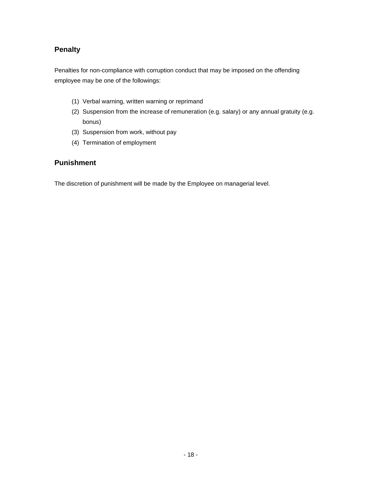# **Penalty**

Penalties for non-compliance with corruption conduct that may be imposed on the offending employee may be one of the followings:

- (1) Verbal warning, written warning or reprimand
- (2) Suspension from the increase of remuneration (e.g. salary) or any annual gratuity (e.g. bonus)
- (3) Suspension from work, without pay
- (4) Termination of employment

# **Punishment**

The discretion of punishment will be made by the Employee on managerial level.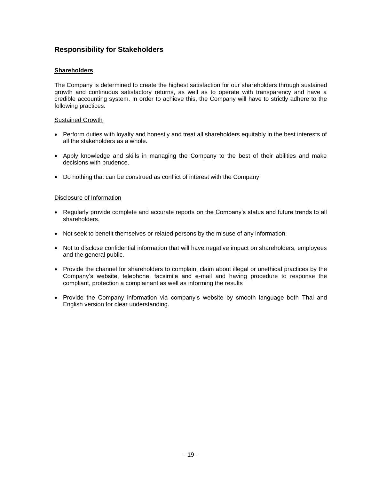# **Responsibility for Stakeholders**

## **Shareholders**

The Company is determined to create the highest satisfaction for our shareholders through sustained growth and continuous satisfactory returns, as well as to operate with transparency and have a credible accounting system. In order to achieve this, the Company will have to strictly adhere to the following practices:

#### Sustained Growth

- Perform duties with loyalty and honestly and treat all shareholders equitably in the best interests of all the stakeholders as a whole.
- Apply knowledge and skills in managing the Company to the best of their abilities and make decisions with prudence.
- Do nothing that can be construed as conflict of interest with the Company.

## Disclosure of Information

- Regularly provide complete and accurate reports on the Company's status and future trends to all shareholders.
- Not seek to benefit themselves or related persons by the misuse of any information.
- Not to disclose confidential information that will have negative impact on shareholders, employees and the general public.
- Provide the channel for shareholders to complain, claim about illegal or unethical practices by the Company's website, telephone, facsimile and e-mail and having procedure to response the compliant, protection a complainant as well as informing the results
- Provide the Company information via company's website by smooth language both Thai and English version for clear understanding.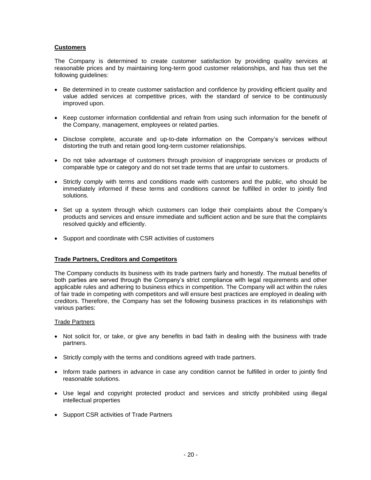## **Customers**

The Company is determined to create customer satisfaction by providing quality services at reasonable prices and by maintaining long-term good customer relationships, and has thus set the following guidelines:

- Be determined in to create customer satisfaction and confidence by providing efficient quality and value added services at competitive prices, with the standard of service to be continuously improved upon.
- Keep customer information confidential and refrain from using such information for the benefit of the Company, management, employees or related parties.
- Disclose complete, accurate and up-to-date information on the Company's services without distorting the truth and retain good long-term customer relationships.
- Do not take advantage of customers through provision of inappropriate services or products of comparable type or category and do not set trade terms that are unfair to customers.
- Strictly comply with terms and conditions made with customers and the public, who should be immediately informed if these terms and conditions cannot be fulfilled in order to jointly find solutions.
- Set up a system through which customers can lodge their complaints about the Company's products and services and ensure immediate and sufficient action and be sure that the complaints resolved quickly and efficiently.
- Support and coordinate with CSR activities of customers

#### **Trade Partners, Creditors and Competitors**

The Company conducts its business with its trade partners fairly and honestly. The mutual benefits of both parties are served through the Company's strict compliance with legal requirements and other applicable rules and adhering to business ethics in competition. The Company will act within the rules of fair trade in competing with competitors and will ensure best practices are employed in dealing with creditors. Therefore, the Company has set the following business practices in its relationships with various parties:

#### Trade Partners

- Not solicit for, or take, or give any benefits in bad faith in dealing with the business with trade partners.
- Strictly comply with the terms and conditions agreed with trade partners.
- Inform trade partners in advance in case any condition cannot be fulfilled in order to jointly find reasonable solutions.
- Use legal and copyright protected product and services and strictly prohibited using illegal intellectual properties
- Support CSR activities of Trade Partners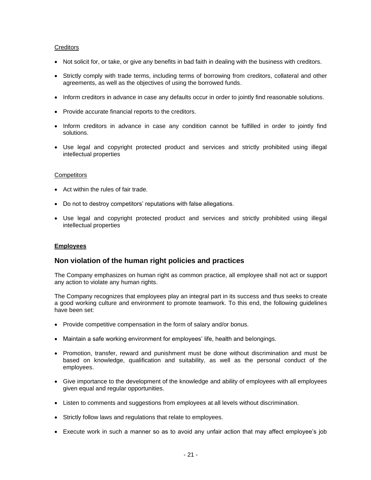#### **Creditors**

- Not solicit for, or take, or give any benefits in bad faith in dealing with the business with creditors.
- Strictly comply with trade terms, including terms of borrowing from creditors, collateral and other agreements, as well as the objectives of using the borrowed funds.
- Inform creditors in advance in case any defaults occur in order to jointly find reasonable solutions.
- Provide accurate financial reports to the creditors.
- Inform creditors in advance in case any condition cannot be fulfilled in order to jointly find solutions.
- Use legal and copyright protected product and services and strictly prohibited using illegal intellectual properties

#### **Competitors**

- Act within the rules of fair trade.
- Do not to destroy competitors' reputations with false allegations.
- Use legal and copyright protected product and services and strictly prohibited using illegal intellectual properties

# **Employees**

# **Non violation of the human right policies and practices**

The Company emphasizes on human right as common practice, all employee shall not act or support any action to violate any human rights.

The Company recognizes that employees play an integral part in its success and thus seeks to create a good working culture and environment to promote teamwork. To this end, the following guidelines have been set:

- Provide competitive compensation in the form of salary and/or bonus.
- Maintain a safe working environment for employees' life, health and belongings.
- Promotion, transfer, reward and punishment must be done without discrimination and must be based on knowledge, qualification and suitability, as well as the personal conduct of the employees.
- Give importance to the development of the knowledge and ability of employees with all employees given equal and regular opportunities.
- Listen to comments and suggestions from employees at all levels without discrimination.
- Strictly follow laws and regulations that relate to employees.
- Execute work in such a manner so as to avoid any unfair action that may affect employee's job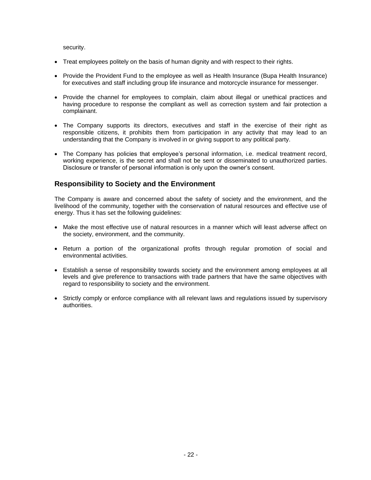security.

- Treat employees politely on the basis of human dignity and with respect to their rights.
- Provide the Provident Fund to the employee as well as Health Insurance (Bupa Health Insurance) for executives and staff including group life insurance and motorcycle insurance for messenger.
- Provide the channel for employees to complain, claim about illegal or unethical practices and having procedure to response the compliant as well as correction system and fair protection a complainant.
- The Company supports its directors, executives and staff in the exercise of their right as responsible citizens, it prohibits them from participation in any activity that may lead to an understanding that the Company is involved in or giving support to any political party.
- The Company has policies that employee's personal information, i.e. medical treatment record, working experience, is the secret and shall not be sent or disseminated to unauthorized parties. Disclosure or transfer of personal information is only upon the owner's consent.

# **Responsibility to Society and the Environment**

The Company is aware and concerned about the safety of society and the environment, and the livelihood of the community, together with the conservation of natural resources and effective use of energy. Thus it has set the following guidelines:

- Make the most effective use of natural resources in a manner which will least adverse affect on the society, environment, and the community.
- Return a portion of the organizational profits through regular promotion of social and environmental activities.
- Establish a sense of responsibility towards society and the environment among employees at all levels and give preference to transactions with trade partners that have the same objectives with regard to responsibility to society and the environment.
- Strictly comply or enforce compliance with all relevant laws and regulations issued by supervisory authorities.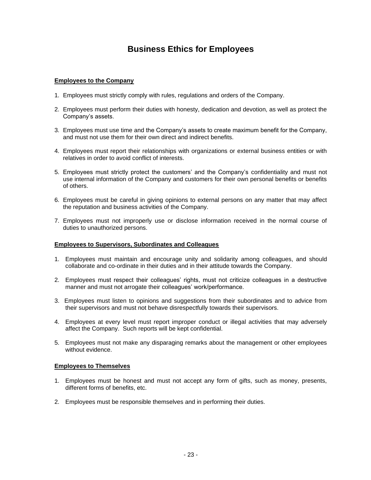# **Business Ethics for Employees**

## **Employees to the Company**

- 1. Employees must strictly comply with rules, regulations and orders of the Company.
- 2. Employees must perform their duties with honesty, dedication and devotion, as well as protect the Company's assets.
- 3. Employees must use time and the Company's assets to create maximum benefit for the Company, and must not use them for their own direct and indirect benefits.
- 4. Employees must report their relationships with organizations or external business entities or with relatives in order to avoid conflict of interests.
- 5. Employees must strictly protect the customers' and the Company's confidentiality and must not use internal information of the Company and customers for their own personal benefits or benefits of others.
- 6. Employees must be careful in giving opinions to external persons on any matter that may affect the reputation and business activities of the Company.
- 7. Employees must not improperly use or disclose information received in the normal course of duties to unauthorized persons.

#### **Employees to Supervisors, Subordinates and Colleagues**

- 1. Employees must maintain and encourage unity and solidarity among colleagues, and should collaborate and co-ordinate in their duties and in their attitude towards the Company.
- 2. Employees must respect their colleagues' rights, must not criticize colleagues in a destructive manner and must not arrogate their colleagues' work/performance.
- 3. Employees must listen to opinions and suggestions from their subordinates and to advice from their supervisors and must not behave disrespectfully towards their supervisors.
- 4. Employees at every level must report improper conduct or illegal activities that may adversely affect the Company. Such reports will be kept confidential.
- 5. Employees must not make any disparaging remarks about the management or other employees without evidence.

#### **Employees to Themselves**

- 1. Employees must be honest and must not accept any form of gifts, such as money, presents, different forms of benefits, etc.
- 2. Employees must be responsible themselves and in performing their duties.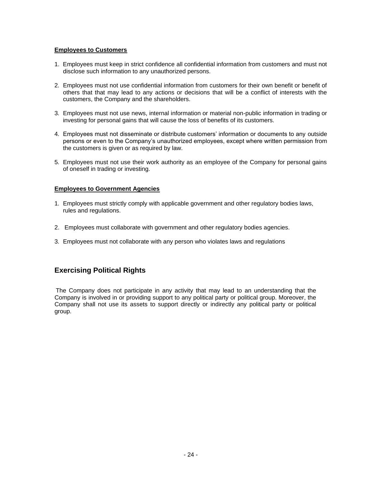## **Employees to Customers**

- 1. Employees must keep in strict confidence all confidential information from customers and must not disclose such information to any unauthorized persons.
- 2. Employees must not use confidential information from customers for their own benefit or benefit of others that that may lead to any actions or decisions that will be a conflict of interests with the customers, the Company and the shareholders.
- 3. Employees must not use news, internal information or material non-public information in trading or investing for personal gains that will cause the loss of benefits of its customers.
- 4. Employees must not disseminate or distribute customers' information or documents to any outside persons or even to the Company's unauthorized employees, except where written permission from the customers is given or as required by law.
- 5. Employees must not use their work authority as an employee of the Company for personal gains of oneself in trading or investing.

#### **Employees to Government Agencies**

- 1. Employees must strictly comply with applicable government and other regulatory bodies laws, rules and regulations.
- 2. Employees must collaborate with government and other regulatory bodies agencies.
- 3. Employees must not collaborate with any person who violates laws and regulations

# **Exercising Political Rights**

The Company does not participate in any activity that may lead to an understanding that the Company is involved in or providing support to any political party or political group. Moreover, the Company shall not use its assets to support directly or indirectly any political party or political group.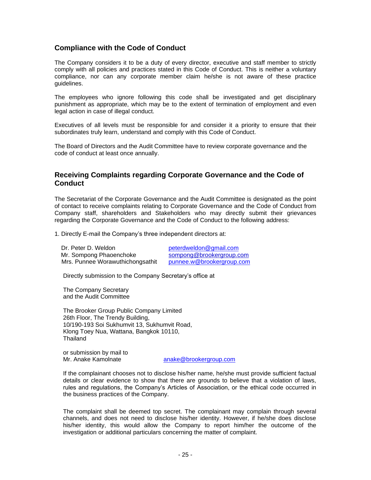# **Compliance with the Code of Conduct**

The Company considers it to be a duty of every director, executive and staff member to strictly comply with all policies and practices stated in this Code of Conduct. This is neither a voluntary compliance, nor can any corporate member claim he/she is not aware of these practice guidelines.

The employees who ignore following this code shall be investigated and get disciplinary punishment as appropriate, which may be to the extent of termination of employment and even legal action in case of illegal conduct.

Executives of all levels must be responsible for and consider it a priority to ensure that their subordinates truly learn, understand and comply with this Code of Conduct.

The Board of Directors and the Audit Committee have to review corporate governance and the code of conduct at least once annually.

# **Receiving Complaints regarding Corporate Governance and the Code of Conduct**

The Secretariat of the Corporate Governance and the Audit Committee is designated as the point of contact to receive complaints relating to Corporate Governance and the Code of Conduct from Company staff, shareholders and Stakeholders who may directly submit their grievances regarding the Corporate Governance and the Code of Conduct to the following address:

1. Directly E-mail the Company's three independent directors at:

Dr. Peter D. Weldon [peterdweldon@gmail.com](mailto:peterdweldon@gmail.com) Mr. Sompong Phaoenchoke [sompong@brookergroup.com](mailto:sompong@brookergroup.com)<br>Mrs. Punnee Worawuthichongsathit punnee.w@brookergroup.com Mrs. Punnee Worawuthichongsathit

Directly submission to the Company Secretary's office at

The Company Secretary and the Audit Committee

The Brooker Group Public Company Limited 26th Floor, The Trendy Building, 10/190-193 Soi Sukhumvit 13, Sukhumvit Road, Klong Toey Nua, Wattana, Bangkok 10110, Thailand

or submission by mail to Mr. Anake Kamolnate [anake@brookergroup.com](mailto:anake@brookergroup.com)

If the complainant chooses not to disclose his/her name, he/she must provide sufficient factual details or clear evidence to show that there are grounds to believe that a violation of laws, rules and regulations, the Company's Articles of Association, or the ethical code occurred in the business practices of the Company.

The complaint shall be deemed top secret. The complainant may complain through several channels, and does not need to disclose his/her identity. However, if he/she does disclose his/her identity, this would allow the Company to report him/her the outcome of the investigation or additional particulars concerning the matter of complaint.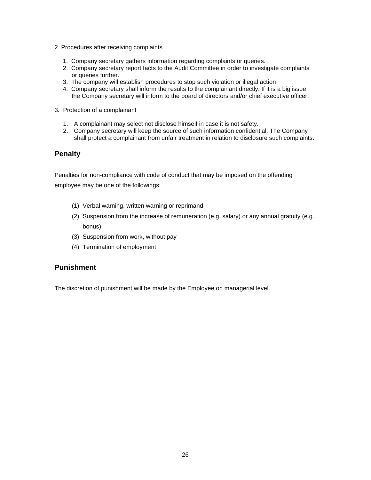- 2. Procedures after receiving complaints
	- 1. Company secretary gathers information regarding complaints or queries.
	- 2. Company secretary report facts to the Audit Committee in order to investigate complaints or queries further.
	- 3. The company will establish procedures to stop such violation or illegal action.
	- 4. Company secretary shall inform the results to the complainant directly. If it is a big issue the Company secretary will inform to the board of directors and/or chief executive officer.
- 3. Protection of a complainant
	- 1. A complainant may select not disclose himself in case it is not safety.
	- 2. Company secretary will keep the source of such information confidential. The Company shall protect a complainant from unfair treatment in relation to disclosure such complaints.

# **Penalty**

Penalties for non-compliance with code of conduct that may be imposed on the offending employee may be one of the followings:

- (1) Verbal warning, written warning or reprimand
- (2) Suspension from the increase of remuneration (e.g. salary) or any annual gratuity (e.g. bonus)
- (3) Suspension from work, without pay
- (4) Termination of employment

# **Punishment**

The discretion of punishment will be made by the Employee on managerial level.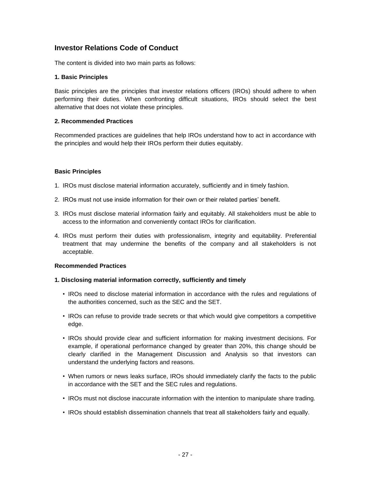# **Investor Relations Code of Conduct**

The content is divided into two main parts as follows:

## **1. Basic Principles**

Basic principles are the principles that investor relations officers (IROs) should adhere to when performing their duties. When confronting difficult situations, IROs should select the best alternative that does not violate these principles.

## **2. Recommended Practices**

Recommended practices are guidelines that help IROs understand how to act in accordance with the principles and would help their IROs perform their duties equitably.

# **Basic Principles**

- 1. IROs must disclose material information accurately, sufficiently and in timely fashion.
- 2. IROs must not use inside information for their own or their related parties' benefit.
- 3. IROs must disclose material information fairly and equitably. All stakeholders must be able to access to the information and conveniently contact IROs for clarification.
- 4. IROs must perform their duties with professionalism, integrity and equitability. Preferential treatment that may undermine the benefits of the company and all stakeholders is not acceptable.

#### **Recommended Practices**

#### **1. Disclosing material information correctly, sufficiently and timely**

- IROs need to disclose material information in accordance with the rules and regulations of the authorities concerned, such as the SEC and the SET.
- IROs can refuse to provide trade secrets or that which would give competitors a competitive edge.
- IROs should provide clear and sufficient information for making investment decisions. For example, if operational performance changed by greater than 20%, this change should be clearly clarified in the Management Discussion and Analysis so that investors can understand the underlying factors and reasons.
- When rumors or news leaks surface, IROs should immediately clarify the facts to the public in accordance with the SET and the SEC rules and regulations.
- IROs must not disclose inaccurate information with the intention to manipulate share trading.
- IROs should establish dissemination channels that treat all stakeholders fairly and equally.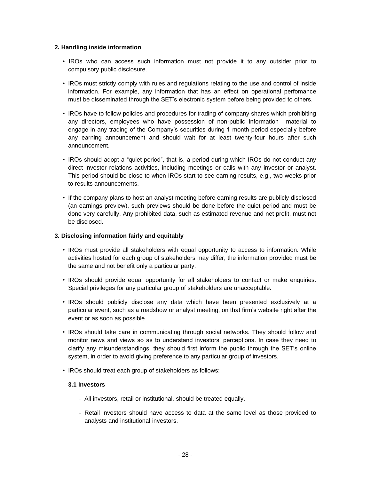## **2. Handling inside information**

- IROs who can access such information must not provide it to any outsider prior to compulsory public disclosure.
- IROs must strictly comply with rules and regulations relating to the use and control of inside information. For example, any information that has an effect on operational perfomance must be disseminated through the SET's electronic system before being provided to others.
- IROs have to follow policies and procedures for trading of company shares which prohibiting any directors, employees who have possession of non-public information material to engage in any trading of the Company's securities during 1 month period especially before any earning announcement and should wait for at least twenty-four hours after such announcement.
- IROs should adopt a "quiet period", that is, a period during which IROs do not conduct any direct investor relations activities, including meetings or calls with any investor or analyst. This period should be close to when IROs start to see earning results, e.g., two weeks prior to results announcements.
- If the company plans to host an analyst meeting before earning results are publicly disclosed (an earnings preview), such previews should be done before the quiet period and must be done very carefully. Any prohibited data, such as estimated revenue and net profit, must not be disclosed.

## **3. Disclosing information fairly and equitably**

- IROs must provide all stakeholders with equal opportunity to access to information. While activities hosted for each group of stakeholders may differ, the information provided must be the same and not benefit only a particular party.
- IROs should provide equal opportunity for all stakeholders to contact or make enquiries. Special privileges for any particular group of stakeholders are unacceptable.
- IROs should publicly disclose any data which have been presented exclusively at a particular event, such as a roadshow or analyst meeting, on that firm's website right after the event or as soon as possible.
- IROs should take care in communicating through social networks. They should follow and monitor news and views so as to understand investors' perceptions. In case they need to clarify any misunderstandings, they should first inform the public through the SET's online system, in order to avoid giving preference to any particular group of investors.
- IROs should treat each group of stakeholders as follows:

# **3.1 Investors**

- All investors, retail or institutional, should be treated equally.
- Retail investors should have access to data at the same level as those provided to analysts and institutional investors.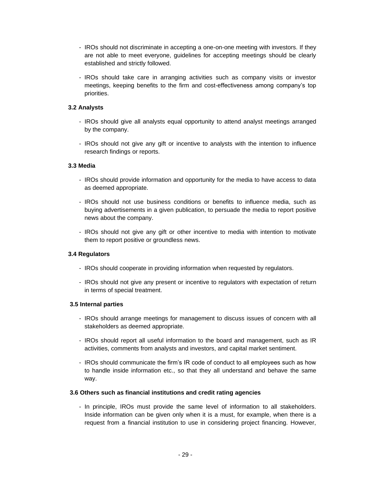- IROs should not discriminate in accepting a one-on-one meeting with investors. If they are not able to meet everyone, guidelines for accepting meetings should be clearly established and strictly followed.
- IROs should take care in arranging activities such as company visits or investor meetings, keeping benefits to the firm and cost-effectiveness among company's top priorities.

# **3.2 Analysts**

- IROs should give all analysts equal opportunity to attend analyst meetings arranged by the company.
- IROs should not give any gift or incentive to analysts with the intention to influence research findings or reports.

# **3.3 Media**

- IROs should provide information and opportunity for the media to have access to data as deemed appropriate.
- IROs should not use business conditions or benefits to influence media, such as buying advertisements in a given publication, to persuade the media to report positive news about the company.
- IROs should not give any gift or other incentive to media with intention to motivate them to report positive or groundless news.

# **3.4 Regulators**

- IROs should cooperate in providing information when requested by regulators.
- IROs should not give any present or incentive to regulators with expectation of return in terms of special treatment.

# **3.5 Internal parties**

- IROs should arrange meetings for management to discuss issues of concern with all stakeholders as deemed appropriate.
- IROs should report all useful information to the board and management, such as IR activities, comments from analysts and investors, and capital market sentiment.
- IROs should communicate the firm's IR code of conduct to all employees such as how to handle inside information etc., so that they all understand and behave the same way.

# **3.6 Others such as financial institutions and credit rating agencies**

- In principle, IROs must provide the same level of information to all stakeholders. Inside information can be given only when it is a must, for example, when there is a request from a financial institution to use in considering project financing. However,